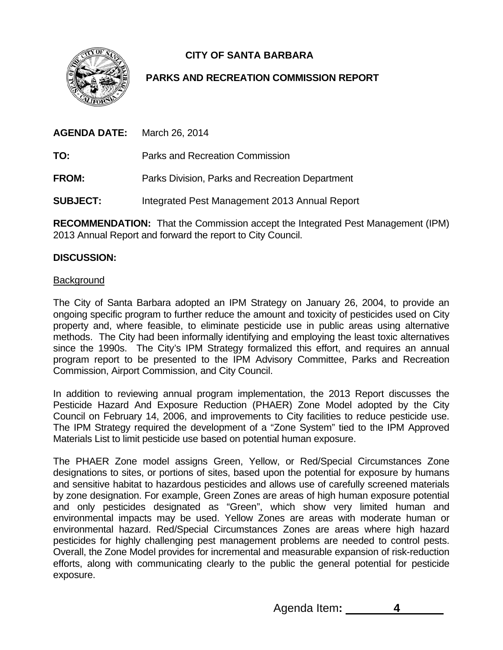**CITY OF SANTA BARBARA** 



# **PARKS AND RECREATION COMMISSION REPORT**

**AGENDA DATE:** March 26, 2014

**TO:** Parks and Recreation Commission

**FROM:** Parks Division, Parks and Recreation Department

**SUBJECT:** Integrated Pest Management 2013 Annual Report

**RECOMMENDATION:** That the Commission accept the Integrated Pest Management (IPM) 2013 Annual Report and forward the report to City Council.

### **DISCUSSION:**

### **Background**

The City of Santa Barbara adopted an IPM Strategy on January 26, 2004, to provide an ongoing specific program to further reduce the amount and toxicity of pesticides used on City property and, where feasible, to eliminate pesticide use in public areas using alternative methods. The City had been informally identifying and employing the least toxic alternatives since the 1990s. The City's IPM Strategy formalized this effort, and requires an annual program report to be presented to the IPM Advisory Committee, Parks and Recreation Commission, Airport Commission, and City Council.

In addition to reviewing annual program implementation, the 2013 Report discusses the Pesticide Hazard And Exposure Reduction (PHAER) Zone Model adopted by the City Council on February 14, 2006, and improvements to City facilities to reduce pesticide use. The IPM Strategy required the development of a "Zone System" tied to the IPM Approved Materials List to limit pesticide use based on potential human exposure.

The PHAER Zone model assigns Green, Yellow, or Red/Special Circumstances Zone designations to sites, or portions of sites, based upon the potential for exposure by humans and sensitive habitat to hazardous pesticides and allows use of carefully screened materials by zone designation. For example, Green Zones are areas of high human exposure potential and only pesticides designated as "Green", which show very limited human and environmental impacts may be used. Yellow Zones are areas with moderate human or environmental hazard. Red/Special Circumstances Zones are areas where high hazard pesticides for highly challenging pest management problems are needed to control pests. Overall, the Zone Model provides for incremental and measurable expansion of risk-reduction efforts, along with communicating clearly to the public the general potential for pesticide exposure.

Agenda Item**: 4**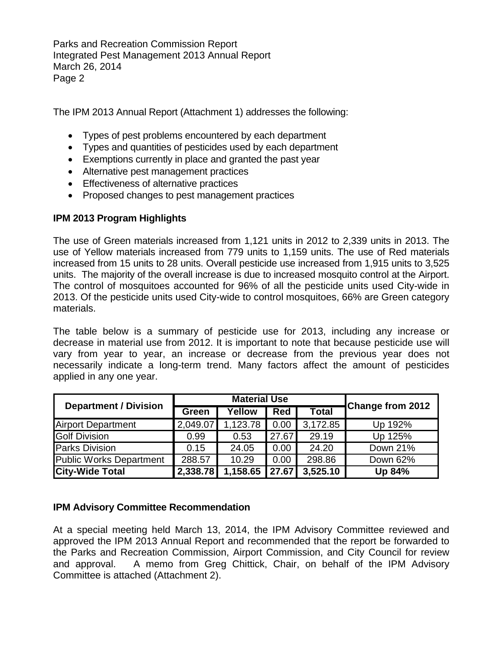Parks and Recreation Commission Report Integrated Pest Management 2013 Annual Report March 26, 2014 Page 2

The IPM 2013 Annual Report (Attachment 1) addresses the following:

- Types of pest problems encountered by each department
- Types and quantities of pesticides used by each department
- Exemptions currently in place and granted the past year
- Alternative pest management practices
- **Effectiveness of alternative practices**
- Proposed changes to pest management practices

## **IPM 2013 Program Highlights**

The use of Green materials increased from 1,121 units in 2012 to 2,339 units in 2013. The use of Yellow materials increased from 779 units to 1,159 units. The use of Red materials increased from 15 units to 28 units. Overall pesticide use increased from 1,915 units to 3,525 units. The majority of the overall increase is due to increased mosquito control at the Airport. The control of mosquitoes accounted for 96% of all the pesticide units used City-wide in 2013. Of the pesticide units used City-wide to control mosquitoes, 66% are Green category materials.

The table below is a summary of pesticide use for 2013, including any increase or decrease in material use from 2012. It is important to note that because pesticide use will vary from year to year, an increase or decrease from the previous year does not necessarily indicate a long-term trend. Many factors affect the amount of pesticides applied in any one year.

| <b>Department / Division</b>   | <b>Material Use</b> |          |            |              | <b>Change from 2012</b> |
|--------------------------------|---------------------|----------|------------|--------------|-------------------------|
|                                | Green               | Yellow   | <b>Red</b> | <b>Total</b> |                         |
| <b>Airport Department</b>      | 2,049.07            | 1,123.78 | 0.00       | 3,172.85     | Up 192%                 |
| <b>Golf Division</b>           | 0.99                | 0.53     | 27.67      | 29.19        | Up 125%                 |
| <b>Parks Division</b>          | 0.15                | 24.05    | 0.00       | 24.20        | Down 21%                |
| <b>Public Works Department</b> | 288.57              | 10.29    | 0.00       | 298.86       | Down 62%                |
| <b>City-Wide Total</b>         | 2,338.78            | 1,158.65 | 27.67      | 3,525.10     | Up 84%                  |

### **IPM Advisory Committee Recommendation**

At a special meeting held March 13, 2014, the IPM Advisory Committee reviewed and approved the IPM 2013 Annual Report and recommended that the report be forwarded to the Parks and Recreation Commission, Airport Commission, and City Council for review and approval. A memo from Greg Chittick, Chair, on behalf of the IPM Advisory Committee is attached (Attachment 2).